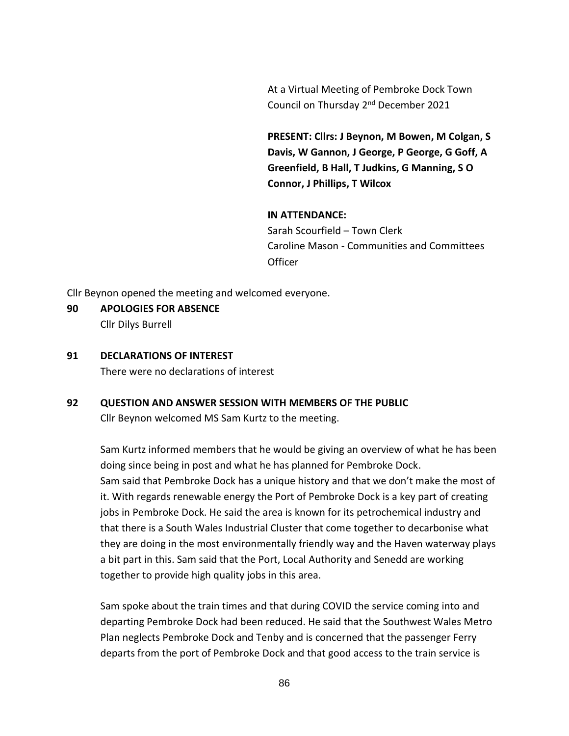At a Virtual Meeting of Pembroke Dock Town Council on Thursday 2<sup>nd</sup> December 2021

**PRESENT: Cllrs: J Beynon, M Bowen, M Colgan, S Davis, W Gannon, J George, P George, G Goff, A Greenfield, B Hall, T Judkins, G Manning, S O Connor, J Phillips, T Wilcox**

### **IN ATTENDANCE:**

Sarah Scourfield – Town Clerk Caroline Mason - Communities and Committees **Officer** 

Cllr Beynon opened the meeting and welcomed everyone.

- **90 APOLOGIES FOR ABSENCE** Cllr Dilys Burrell
- **91 DECLARATIONS OF INTEREST**

There were no declarations of interest

# **92 QUESTION AND ANSWER SESSION WITH MEMBERS OF THE PUBLIC**

Cllr Beynon welcomed MS Sam Kurtz to the meeting.

Sam Kurtz informed members that he would be giving an overview of what he has been doing since being in post and what he has planned for Pembroke Dock. Sam said that Pembroke Dock has a unique history and that we don't make the most of it. With regards renewable energy the Port of Pembroke Dock is a key part of creating jobs in Pembroke Dock. He said the area is known for its petrochemical industry and that there is a South Wales Industrial Cluster that come together to decarbonise what they are doing in the most environmentally friendly way and the Haven waterway plays a bit part in this. Sam said that the Port, Local Authority and Senedd are working together to provide high quality jobs in this area.

Sam spoke about the train times and that during COVID the service coming into and departing Pembroke Dock had been reduced. He said that the Southwest Wales Metro Plan neglects Pembroke Dock and Tenby and is concerned that the passenger Ferry departs from the port of Pembroke Dock and that good access to the train service is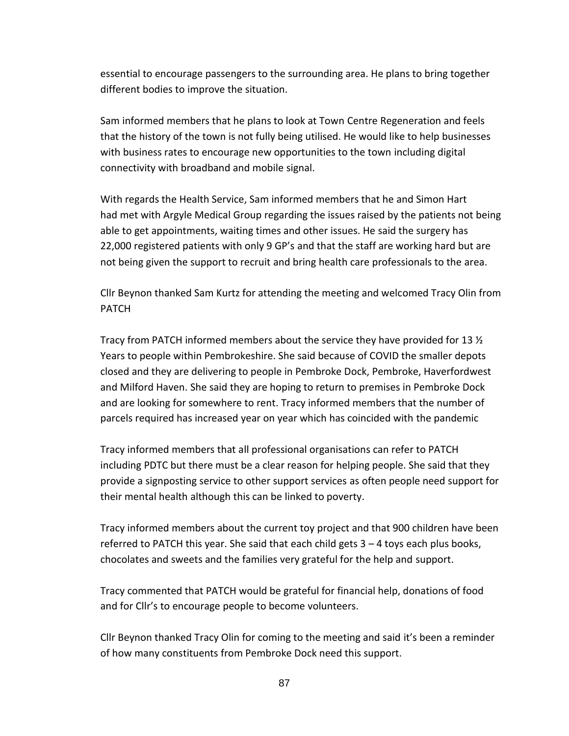essential to encourage passengers to the surrounding area. He plans to bring together different bodies to improve the situation.

Sam informed members that he plans to look at Town Centre Regeneration and feels that the history of the town is not fully being utilised. He would like to help businesses with business rates to encourage new opportunities to the town including digital connectivity with broadband and mobile signal.

With regards the Health Service, Sam informed members that he and Simon Hart had met with Argyle Medical Group regarding the issues raised by the patients not being able to get appointments, waiting times and other issues. He said the surgery has 22,000 registered patients with only 9 GP's and that the staff are working hard but are not being given the support to recruit and bring health care professionals to the area.

Cllr Beynon thanked Sam Kurtz for attending the meeting and welcomed Tracy Olin from PATCH

Tracy from PATCH informed members about the service they have provided for 13  $\frac{1}{2}$ Years to people within Pembrokeshire. She said because of COVID the smaller depots closed and they are delivering to people in Pembroke Dock, Pembroke, Haverfordwest and Milford Haven. She said they are hoping to return to premises in Pembroke Dock and are looking for somewhere to rent. Tracy informed members that the number of parcels required has increased year on year which has coincided with the pandemic

Tracy informed members that all professional organisations can refer to PATCH including PDTC but there must be a clear reason for helping people. She said that they provide a signposting service to other support services as often people need support for their mental health although this can be linked to poverty.

Tracy informed members about the current toy project and that 900 children have been referred to PATCH this year. She said that each child gets  $3 - 4$  toys each plus books, chocolates and sweets and the families very grateful for the help and support.

Tracy commented that PATCH would be grateful for financial help, donations of food and for Cllr's to encourage people to become volunteers.

Cllr Beynon thanked Tracy Olin for coming to the meeting and said it's been a reminder of how many constituents from Pembroke Dock need this support.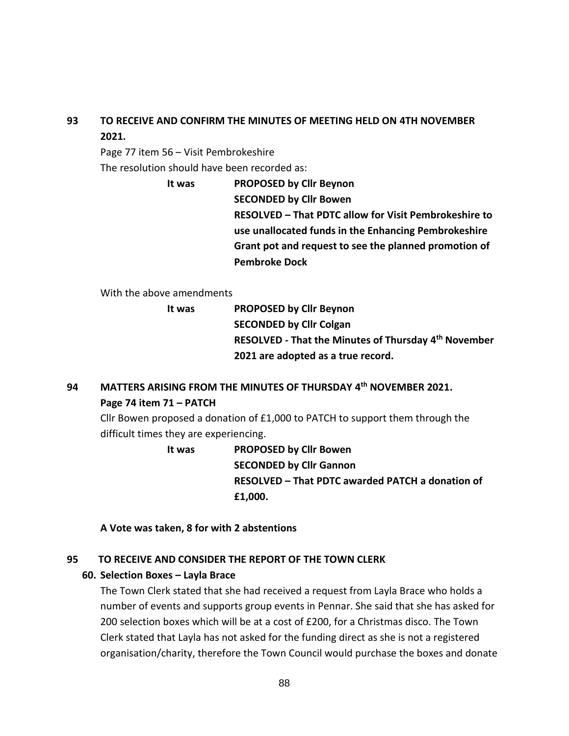# **93 TO RECEIVE AND CONFIRM THE MINUTES OF MEETING HELD ON 4TH NOVEMBER 2021.**

Page 77 item 56 – Visit Pembrokeshire

The resolution should have been recorded as:

**It was PROPOSED by Cllr Beynon SECONDED by Cllr Bowen RESOLVED – That PDTC allow for Visit Pembrokeshire to use unallocated funds in the Enhancing Pembrokeshire Grant pot and request to see the planned promotion of Pembroke Dock**

With the above amendments

**It was PROPOSED by Cllr Beynon SECONDED by Cllr Colgan RESOLVED - That the Minutes of Thursday 4 th November 2021 are adopted as a true record.**

# **94 MATTERS ARISING FROM THE MINUTES OF THURSDAY 4 th NOVEMBER 2021. Page 74 item 71 – PATCH**

Cllr Bowen proposed a donation of £1,000 to PATCH to support them through the difficult times they are experiencing.

> **It was PROPOSED by Cllr Bowen SECONDED by Cllr Gannon RESOLVED – That PDTC awarded PATCH a donation of £1,000.**

**A Vote was taken, 8 for with 2 abstentions**

## **95 TO RECEIVE AND CONSIDER THE REPORT OF THE TOWN CLERK**

## **60. Selection Boxes – Layla Brace**

The Town Clerk stated that she had received a request from Layla Brace who holds a number of events and supports group events in Pennar. She said that she has asked for 200 selection boxes which will be at a cost of £200, for a Christmas disco. The Town Clerk stated that Layla has not asked for the funding direct as she is not a registered organisation/charity, therefore the Town Council would purchase the boxes and donate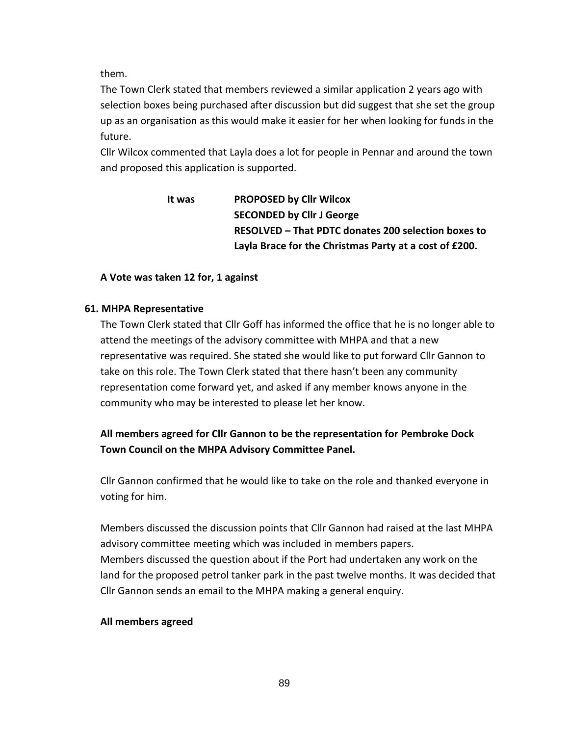them.

The Town Clerk stated that members reviewed a similar application 2 years ago with selection boxes being purchased after discussion but did suggest that she set the group up as an organisation as this would make it easier for her when looking for funds in the future.

Cllr Wilcox commented that Layla does a lot for people in Pennar and around the town and proposed this application is supported.

# **It was PROPOSED by Cllr Wilcox SECONDED by Cllr J George RESOLVED – That PDTC donates 200 selection boxes to Layla Brace for the Christmas Party at a cost of £200.**

## **A Vote was taken 12 for, 1 against**

### **61. MHPA Representative**

The Town Clerk stated that Cllr Goff has informed the office that he is no longer able to attend the meetings of the advisory committee with MHPA and that a new representative was required. She stated she would like to put forward Cllr Gannon to take on this role. The Town Clerk stated that there hasn't been any community representation come forward yet, and asked if any member knows anyone in the community who may be interested to please let her know.

# **All members agreed for Cllr Gannon to be the representation for Pembroke Dock Town Council on the MHPA Advisory Committee Panel.**

Cllr Gannon confirmed that he would like to take on the role and thanked everyone in voting for him.

Members discussed the discussion points that Cllr Gannon had raised at the last MHPA advisory committee meeting which was included in members papers. Members discussed the question about if the Port had undertaken any work on the land for the proposed petrol tanker park in the past twelve months. It was decided that Cllr Gannon sends an email to the MHPA making a general enquiry.

### **All members agreed**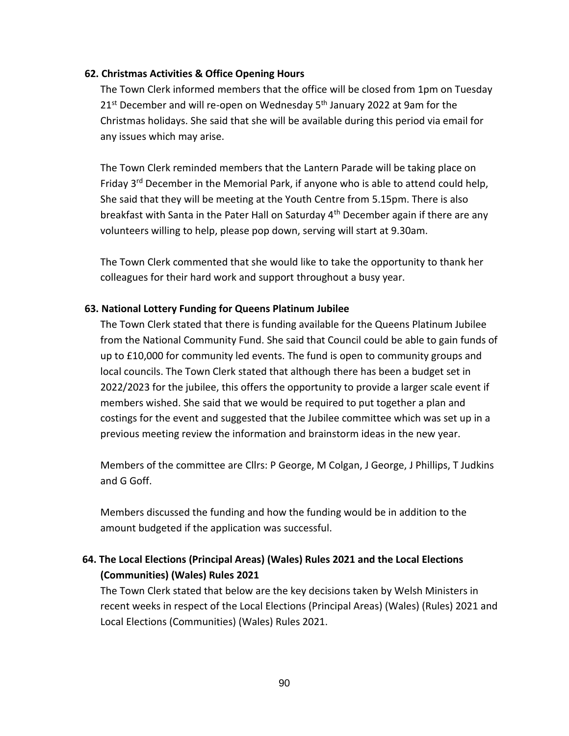### **62. Christmas Activities & Office Opening Hours**

The Town Clerk informed members that the office will be closed from 1pm on Tuesday  $21<sup>st</sup>$  December and will re-open on Wednesday 5<sup>th</sup> January 2022 at 9am for the Christmas holidays. She said that she will be available during this period via email for any issues which may arise.

The Town Clerk reminded members that the Lantern Parade will be taking place on Friday  $3<sup>rd</sup>$  December in the Memorial Park, if anyone who is able to attend could help, She said that they will be meeting at the Youth Centre from 5.15pm. There is also breakfast with Santa in the Pater Hall on Saturday  $4<sup>th</sup>$  December again if there are any volunteers willing to help, please pop down, serving will start at 9.30am.

The Town Clerk commented that she would like to take the opportunity to thank her colleagues for their hard work and support throughout a busy year.

#### **63. National Lottery Funding for Queens Platinum Jubilee**

The Town Clerk stated that there is funding available for the Queens Platinum Jubilee from the National Community Fund. She said that Council could be able to gain funds of up to £10,000 for community led events. The fund is open to community groups and local councils. The Town Clerk stated that although there has been a budget set in 2022/2023 for the jubilee, this offers the opportunity to provide a larger scale event if members wished. She said that we would be required to put together a plan and costings for the event and suggested that the Jubilee committee which was set up in a previous meeting review the information and brainstorm ideas in the new year.

Members of the committee are Cllrs: P George, M Colgan, J George, J Phillips, T Judkins and G Goff.

Members discussed the funding and how the funding would be in addition to the amount budgeted if the application was successful.

# **64. The Local Elections (Principal Areas) (Wales) Rules 2021 and the Local Elections (Communities) (Wales) Rules 2021**

The Town Clerk stated that below are the key decisions taken by Welsh Ministers in recent weeks in respect of the Local Elections (Principal Areas) (Wales) (Rules) 2021 and Local Elections (Communities) (Wales) Rules 2021.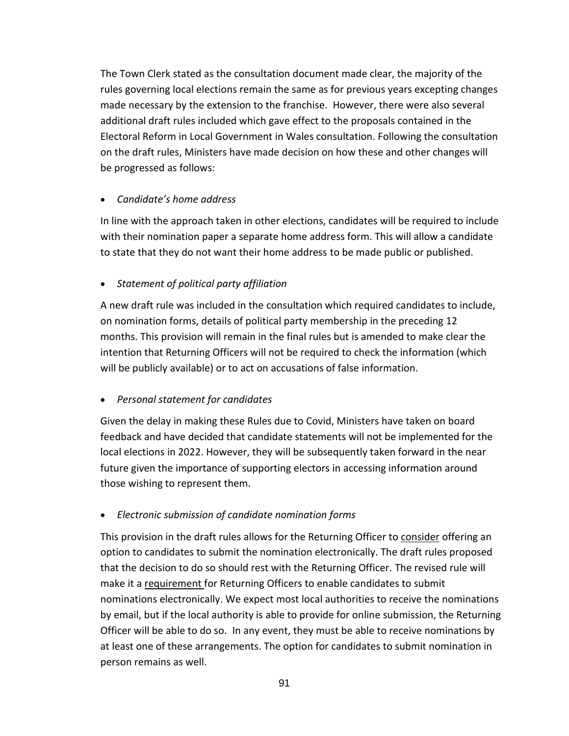The Town Clerk stated as the consultation document made clear, the majority of the rules governing local elections remain the same as for previous years excepting changes made necessary by the extension to the franchise. However, there were also several additional draft rules included which gave effect to the proposals contained in the Electoral Reform in Local Government in Wales consultation. Following the consultation on the draft rules, Ministers have made decision on how these and other changes will be progressed as follows:

## • *Candidate's home address*

In line with the approach taken in other elections, candidates will be required to include with their nomination paper a separate home address form. This will allow a candidate to state that they do not want their home address to be made public or published.

## • *Statement of political party affiliation*

A new draft rule was included in the consultation which required candidates to include, on nomination forms, details of political party membership in the preceding 12 months. This provision will remain in the final rules but is amended to make clear the intention that Returning Officers will not be required to check the information (which will be publicly available) or to act on accusations of false information.

## • *Personal statement for candidates*

Given the delay in making these Rules due to Covid, Ministers have taken on board feedback and have decided that candidate statements will not be implemented for the local elections in 2022. However, they will be subsequently taken forward in the near future given the importance of supporting electors in accessing information around those wishing to represent them.

## • *Electronic submission of candidate nomination forms*

This provision in the draft rules allows for the Returning Officer to consider offering an option to candidates to submit the nomination electronically. The draft rules proposed that the decision to do so should rest with the Returning Officer. The revised rule will make it a requirement for Returning Officers to enable candidates to submit nominations electronically. We expect most local authorities to receive the nominations by email, but if the local authority is able to provide for online submission, the Returning Officer will be able to do so. In any event, they must be able to receive nominations by at least one of these arrangements. The option for candidates to submit nomination in person remains as well.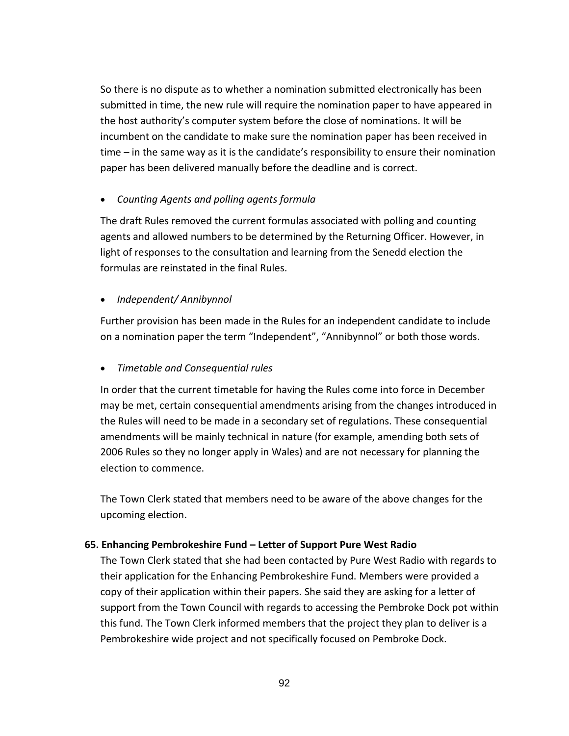So there is no dispute as to whether a nomination submitted electronically has been submitted in time, the new rule will require the nomination paper to have appeared in the host authority's computer system before the close of nominations. It will be incumbent on the candidate to make sure the nomination paper has been received in time – in the same way as it is the candidate's responsibility to ensure their nomination paper has been delivered manually before the deadline and is correct.

• *Counting Agents and polling agents formula*

The draft Rules removed the current formulas associated with polling and counting agents and allowed numbers to be determined by the Returning Officer. However, in light of responses to the consultation and learning from the Senedd election the formulas are reinstated in the final Rules.

• *Independent/ Annibynnol*

Further provision has been made in the Rules for an independent candidate to include on a nomination paper the term "Independent", "Annibynnol" or both those words.

• *Timetable and Consequential rules*

In order that the current timetable for having the Rules come into force in December may be met, certain consequential amendments arising from the changes introduced in the Rules will need to be made in a secondary set of regulations. These consequential amendments will be mainly technical in nature (for example, amending both sets of 2006 Rules so they no longer apply in Wales) and are not necessary for planning the election to commence.

The Town Clerk stated that members need to be aware of the above changes for the upcoming election.

## **65. Enhancing Pembrokeshire Fund – Letter of Support Pure West Radio**

The Town Clerk stated that she had been contacted by Pure West Radio with regards to their application for the Enhancing Pembrokeshire Fund. Members were provided a copy of their application within their papers. She said they are asking for a letter of support from the Town Council with regards to accessing the Pembroke Dock pot within this fund. The Town Clerk informed members that the project they plan to deliver is a Pembrokeshire wide project and not specifically focused on Pembroke Dock.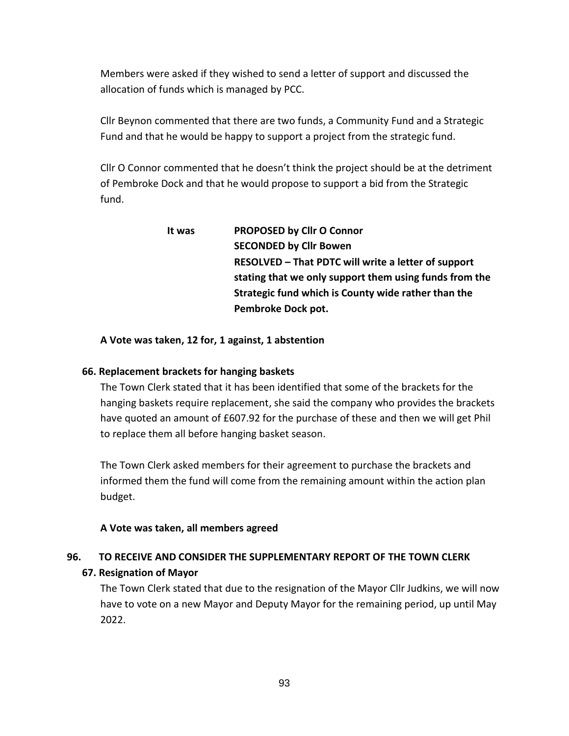Members were asked if they wished to send a letter of support and discussed the allocation of funds which is managed by PCC.

Cllr Beynon commented that there are two funds, a Community Fund and a Strategic Fund and that he would be happy to support a project from the strategic fund.

Cllr O Connor commented that he doesn't think the project should be at the detriment of Pembroke Dock and that he would propose to support a bid from the Strategic fund.

| It was | PROPOSED by Cllr O Connor                              |
|--------|--------------------------------------------------------|
|        | <b>SECONDED by Cllr Bowen</b>                          |
|        | RESOLVED – That PDTC will write a letter of support    |
|        | stating that we only support them using funds from the |
|        | Strategic fund which is County wide rather than the    |
|        | Pembroke Dock pot.                                     |

**A Vote was taken, 12 for, 1 against, 1 abstention**

### **66. Replacement brackets for hanging baskets**

The Town Clerk stated that it has been identified that some of the brackets for the hanging baskets require replacement, she said the company who provides the brackets have quoted an amount of £607.92 for the purchase of these and then we will get Phil to replace them all before hanging basket season.

The Town Clerk asked members for their agreement to purchase the brackets and informed them the fund will come from the remaining amount within the action plan budget.

## **A Vote was taken, all members agreed**

## **96. TO RECEIVE AND CONSIDER THE SUPPLEMENTARY REPORT OF THE TOWN CLERK**

## **67. Resignation of Mayor**

The Town Clerk stated that due to the resignation of the Mayor Cllr Judkins, we will now have to vote on a new Mayor and Deputy Mayor for the remaining period, up until May 2022.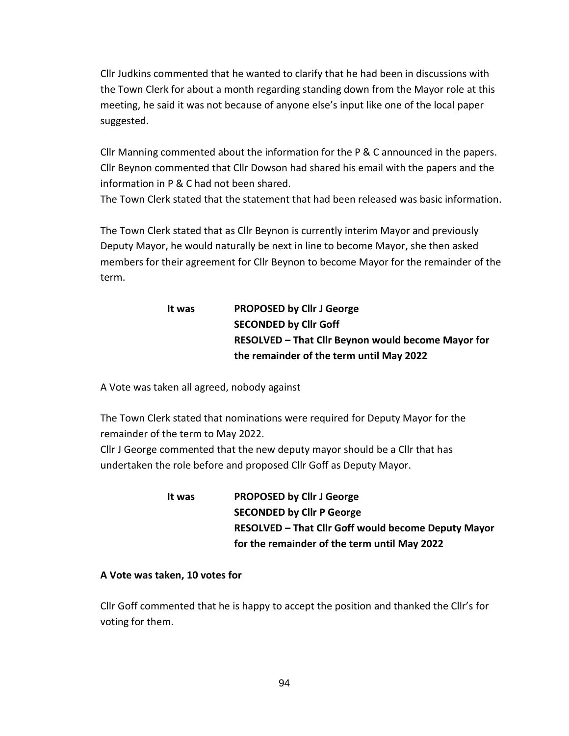Cllr Judkins commented that he wanted to clarify that he had been in discussions with the Town Clerk for about a month regarding standing down from the Mayor role at this meeting, he said it was not because of anyone else's input like one of the local paper suggested.

Cllr Manning commented about the information for the P & C announced in the papers. Cllr Beynon commented that Cllr Dowson had shared his email with the papers and the information in P & C had not been shared.

The Town Clerk stated that the statement that had been released was basic information.

The Town Clerk stated that as Cllr Beynon is currently interim Mayor and previously Deputy Mayor, he would naturally be next in line to become Mayor, she then asked members for their agreement for Cllr Beynon to become Mayor for the remainder of the term.

# **It was PROPOSED by Cllr J George SECONDED by Cllr Goff RESOLVED – That Cllr Beynon would become Mayor for the remainder of the term until May 2022**

A Vote was taken all agreed, nobody against

The Town Clerk stated that nominations were required for Deputy Mayor for the remainder of the term to May 2022.

Cllr J George commented that the new deputy mayor should be a Cllr that has undertaken the role before and proposed Cllr Goff as Deputy Mayor.

> **It was PROPOSED by Cllr J George SECONDED by Cllr P George RESOLVED – That Cllr Goff would become Deputy Mayor for the remainder of the term until May 2022**

### **A Vote was taken, 10 votes for**

Cllr Goff commented that he is happy to accept the position and thanked the Cllr's for voting for them.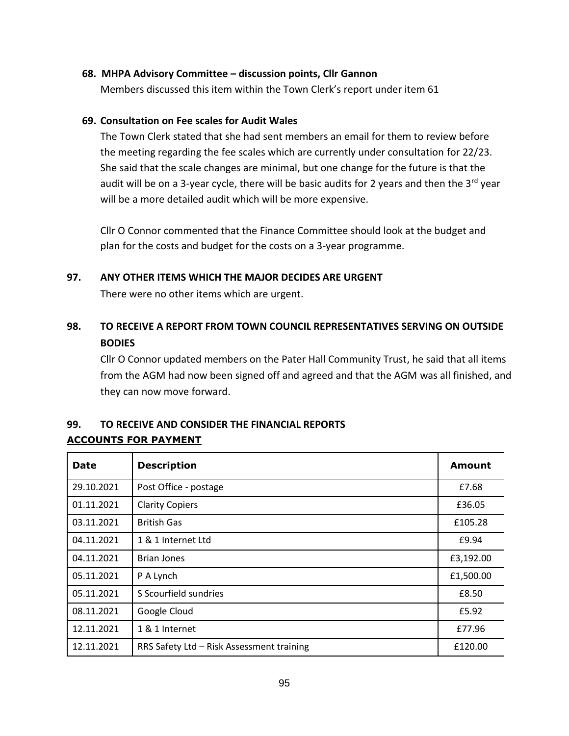#### **68. MHPA Advisory Committee – discussion points, Cllr Gannon**

Members discussed this item within the Town Clerk's report under item 61

#### **69. Consultation on Fee scales for Audit Wales**

The Town Clerk stated that she had sent members an email for them to review before the meeting regarding the fee scales which are currently under consultation for 22/23. She said that the scale changes are minimal, but one change for the future is that the audit will be on a 3-year cycle, there will be basic audits for 2 years and then the  $3^{rd}$  year will be a more detailed audit which will be more expensive.

Cllr O Connor commented that the Finance Committee should look at the budget and plan for the costs and budget for the costs on a 3-year programme.

#### **97. ANY OTHER ITEMS WHICH THE MAJOR DECIDES ARE URGENT**

There were no other items which are urgent.

# **98. TO RECEIVE A REPORT FROM TOWN COUNCIL REPRESENTATIVES SERVING ON OUTSIDE BODIES**

Cllr O Connor updated members on the Pater Hall Community Trust, he said that all items from the AGM had now been signed off and agreed and that the AGM was all finished, and they can now move forward.

## **99. TO RECEIVE AND CONSIDER THE FINANCIAL REPORTS ACCOUNTS FOR PAYMENT**

| <b>Date</b> | <b>Description</b>                        | <b>Amount</b> |
|-------------|-------------------------------------------|---------------|
| 29.10.2021  | Post Office - postage                     | £7.68         |
| 01.11.2021  | <b>Clarity Copiers</b>                    | £36.05        |
| 03.11.2021  | <b>British Gas</b>                        | £105.28       |
| 04.11.2021  | 1 & 1 Internet Ltd                        | £9.94         |
| 04.11.2021  | <b>Brian Jones</b>                        | £3,192.00     |
| 05.11.2021  | P A Lynch                                 | £1,500.00     |
| 05.11.2021  | S Scourfield sundries                     | £8.50         |
| 08.11.2021  | Google Cloud                              | £5.92         |
| 12.11.2021  | 1 & 1 Internet                            | £77.96        |
| 12.11.2021  | RRS Safety Ltd - Risk Assessment training | £120.00       |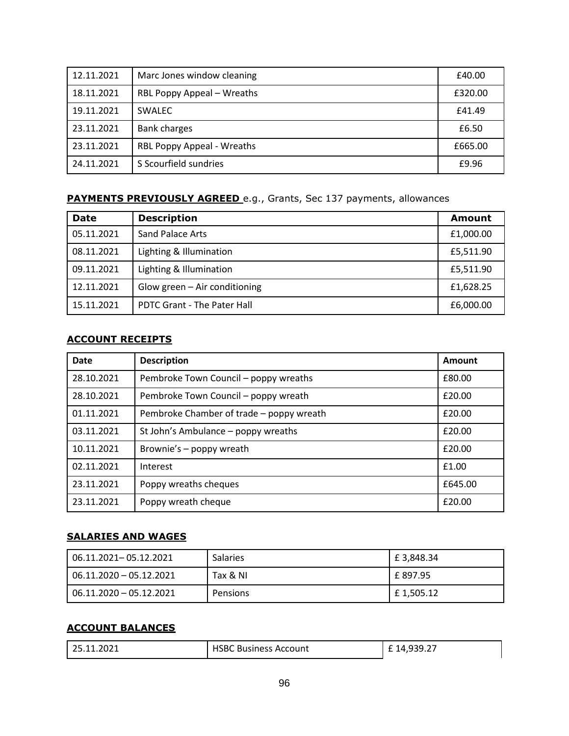| 12.11.2021 | Marc Jones window cleaning | £40.00  |
|------------|----------------------------|---------|
| 18.11.2021 | RBL Poppy Appeal - Wreaths | £320.00 |
| 19.11.2021 | <b>SWALEC</b>              | £41.49  |
| 23.11.2021 | <b>Bank charges</b>        | £6.50   |
| 23.11.2021 | RBL Poppy Appeal - Wreaths | £665.00 |
| 24.11.2021 | S Scourfield sundries      | £9.96   |

## **PAYMENTS PREVIOUSLY AGREED** e.g., Grants, Sec 137 payments, allowances

| <b>Date</b> | <b>Description</b>                 | <b>Amount</b> |
|-------------|------------------------------------|---------------|
| 05.11.2021  | Sand Palace Arts                   | £1,000.00     |
| 08.11.2021  | Lighting & Illumination            | £5,511.90     |
| 09.11.2021  | Lighting & Illumination            | £5,511.90     |
| 12.11.2021  | Glow green - Air conditioning      | £1,628.25     |
| 15.11.2021  | <b>PDTC Grant - The Pater Hall</b> | £6,000.00     |

# **ACCOUNT RECEIPTS**

| <b>Date</b> | <b>Description</b>                       | Amount  |
|-------------|------------------------------------------|---------|
| 28.10.2021  | Pembroke Town Council - poppy wreaths    | £80.00  |
| 28.10.2021  | Pembroke Town Council - poppy wreath     | £20.00  |
| 01.11.2021  | Pembroke Chamber of trade – poppy wreath | £20.00  |
| 03.11.2021  | St John's Ambulance - poppy wreaths      | £20.00  |
| 10.11.2021  | Brownie's - poppy wreath                 | £20.00  |
| 02.11.2021  | Interest                                 | £1.00   |
| 23.11.2021  | Poppy wreaths cheques                    | £645.00 |
| 23.11.2021  | Poppy wreath cheque                      | £20.00  |

## **SALARIES AND WAGES**

| 06.11.2021-05.12.2021   | <b>Salaries</b> | £ 3,848.34 |
|-------------------------|-----------------|------------|
| 06.11.2020 - 05.12.2021 | Tax & NI        | £ 897.95   |
| 06.11.2020 - 05.12.2021 | Pensions        | £1,505.12  |

## **ACCOUNT BALANCES**

| 25.11.2021 | <b>HSBC Business Account</b> | £14,939.27 |
|------------|------------------------------|------------|
|            |                              |            |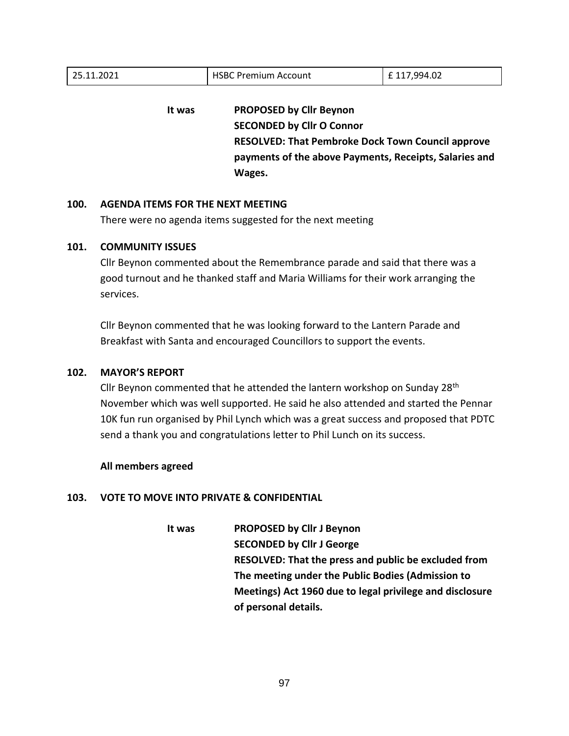| <b>HSBC Premium Account</b>                                                                                                                                                              | £117,994.02 |
|------------------------------------------------------------------------------------------------------------------------------------------------------------------------------------------|-------------|
| <b>PROPOSED by Cllr Beynon</b><br><b>SECONDED by Cllr O Connor</b><br><b>RESOLVED: That Pembroke Dock Town Council approve</b><br>payments of the above Payments, Receipts, Salaries and |             |
|                                                                                                                                                                                          | Wages.      |

#### **100. AGENDA ITEMS FOR THE NEXT MEETING**

There were no agenda items suggested for the next meeting

#### **101. COMMUNITY ISSUES**

Cllr Beynon commented about the Remembrance parade and said that there was a good turnout and he thanked staff and Maria Williams for their work arranging the services.

Cllr Beynon commented that he was looking forward to the Lantern Parade and Breakfast with Santa and encouraged Councillors to support the events.

#### **102. MAYOR'S REPORT**

Cllr Beynon commented that he attended the lantern workshop on Sunday 28<sup>th</sup> November which was well supported. He said he also attended and started the Pennar 10K fun run organised by Phil Lynch which was a great success and proposed that PDTC send a thank you and congratulations letter to Phil Lunch on its success.

#### **All members agreed**

#### **103. VOTE TO MOVE INTO PRIVATE & CONFIDENTIAL**

**It was PROPOSED by Cllr J Beynon SECONDED by Cllr J George RESOLVED: That the press and public be excluded from The meeting under the Public Bodies (Admission to Meetings) Act 1960 due to legal privilege and disclosure of personal details.**